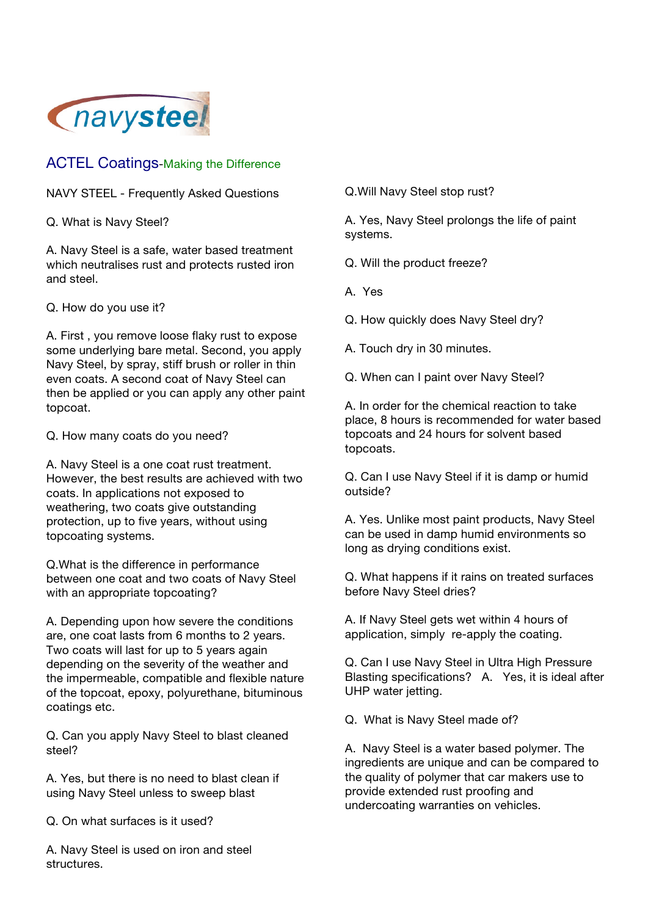

## ACTEL Coatings-Making the Difference

NAVY STEEL - Frequently Asked Questions

Q. What is Navy Steel?

A. Navy Steel is a safe, water based treatment which neutralises rust and protects rusted iron and steel.

Q. How do you use it?

A. First , you remove loose flaky rust to expose some underlying bare metal. Second, you apply Navy Steel, by spray, stiff brush or roller in thin even coats. A second coat of Navy Steel can then be applied or you can apply any other paint topcoat.

Q. How many coats do you need?

A. Navy Steel is a one coat rust treatment. However, the best results are achieved with two coats. In applications not exposed to weathering, two coats give outstanding protection, up to five years, without using topcoating systems.

Q.What is the difference in performance between one coat and two coats of Navy Steel with an appropriate topcoating?

A. Depending upon how severe the conditions are, one coat lasts from 6 months to 2 years. Two coats will last for up to 5 years again depending on the severity of the weather and the impermeable, compatible and flexible nature of the topcoat, epoxy, polyurethane, bituminous coatings etc.

Q. Can you apply Navy Steel to blast cleaned steel?

A. Yes, but there is no need to blast clean if using Navy Steel unless to sweep blast

Q. On what surfaces is it used?

A. Navy Steel is used on iron and steel structures.

Q.Will Navy Steel stop rust?

A. Yes, Navy Steel prolongs the life of paint systems.

Q. Will the product freeze?

A. Yes

Q. How quickly does Navy Steel dry?

A. Touch dry in 30 minutes.

Q. When can I paint over Navy Steel?

A. In order for the chemical reaction to take place, 8 hours is recommended for water based topcoats and 24 hours for solvent based topcoats.

Q. Can I use Navy Steel if it is damp or humid outside?

A. Yes. Unlike most paint products, Navy Steel can be used in damp humid environments so long as drying conditions exist.

Q. What happens if it rains on treated surfaces before Navy Steel dries?

A. If Navy Steel gets wet within 4 hours of application, simply re-apply the coating.

Q. Can I use Navy Steel in Ultra High Pressure Blasting specifications? A. Yes, it is ideal after UHP water jetting.

Q. What is Navy Steel made of?

A. Navy Steel is a water based polymer. The ingredients are unique and can be compared to the quality of polymer that car makers use to provide extended rust proofing and undercoating warranties on vehicles.